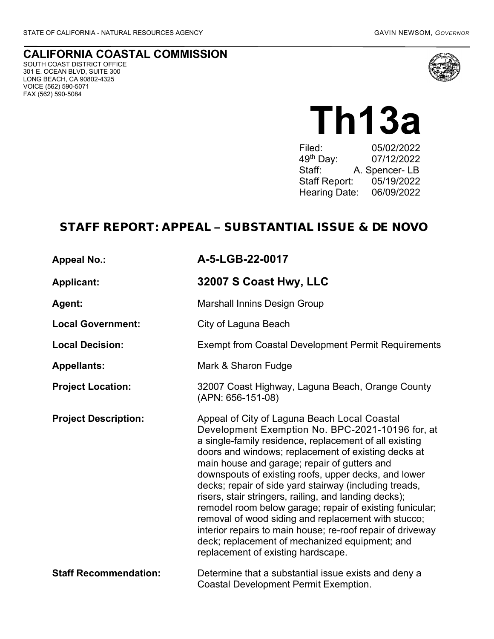#### **CALIFORNIA COASTAL COMMISSION** SOUTH COAST DISTRICT OFFICE 301 E. OCEAN BLVD, SUITE 300 LONG BEACH, CA 90802-4325 VOICE (562) 590-5071 FAX (562) 590-5084



**Th13a** Filed: 05/02/2022<br>49<sup>th</sup> Day: 07/12/2022 49<sup>th</sup> Day: 07/12/2022<br>Staff: A. Spencer- LB A. Spencer- LB Staff Report: 05/19/2022 Hearing Date: 06/09/2022

# STAFF REPORT: APPEAL – SUBSTANTIAL ISSUE & DE NOVO

| <b>Appeal No.:</b>           | A-5-LGB-22-0017                                                                                                                                                                                                                                                                                                                                                                                                                                                                                                                                                                                                                                                                                                       |
|------------------------------|-----------------------------------------------------------------------------------------------------------------------------------------------------------------------------------------------------------------------------------------------------------------------------------------------------------------------------------------------------------------------------------------------------------------------------------------------------------------------------------------------------------------------------------------------------------------------------------------------------------------------------------------------------------------------------------------------------------------------|
| <b>Applicant:</b>            | 32007 S Coast Hwy, LLC                                                                                                                                                                                                                                                                                                                                                                                                                                                                                                                                                                                                                                                                                                |
| Agent:                       | <b>Marshall Innins Design Group</b>                                                                                                                                                                                                                                                                                                                                                                                                                                                                                                                                                                                                                                                                                   |
| <b>Local Government:</b>     | City of Laguna Beach                                                                                                                                                                                                                                                                                                                                                                                                                                                                                                                                                                                                                                                                                                  |
| <b>Local Decision:</b>       | <b>Exempt from Coastal Development Permit Requirements</b>                                                                                                                                                                                                                                                                                                                                                                                                                                                                                                                                                                                                                                                            |
| <b>Appellants:</b>           | Mark & Sharon Fudge                                                                                                                                                                                                                                                                                                                                                                                                                                                                                                                                                                                                                                                                                                   |
| <b>Project Location:</b>     | 32007 Coast Highway, Laguna Beach, Orange County<br>(APN: 656-151-08)                                                                                                                                                                                                                                                                                                                                                                                                                                                                                                                                                                                                                                                 |
| <b>Project Description:</b>  | Appeal of City of Laguna Beach Local Coastal<br>Development Exemption No. BPC-2021-10196 for, at<br>a single-family residence, replacement of all existing<br>doors and windows; replacement of existing decks at<br>main house and garage; repair of gutters and<br>downspouts of existing roofs, upper decks, and lower<br>decks; repair of side yard stairway (including treads,<br>risers, stair stringers, railing, and landing decks);<br>remodel room below garage; repair of existing funicular;<br>removal of wood siding and replacement with stucco;<br>interior repairs to main house; re-roof repair of driveway<br>deck; replacement of mechanized equipment; and<br>replacement of existing hardscape. |
| <b>Staff Recommendation:</b> | Determine that a substantial issue exists and deny a<br><b>Coastal Development Permit Exemption.</b>                                                                                                                                                                                                                                                                                                                                                                                                                                                                                                                                                                                                                  |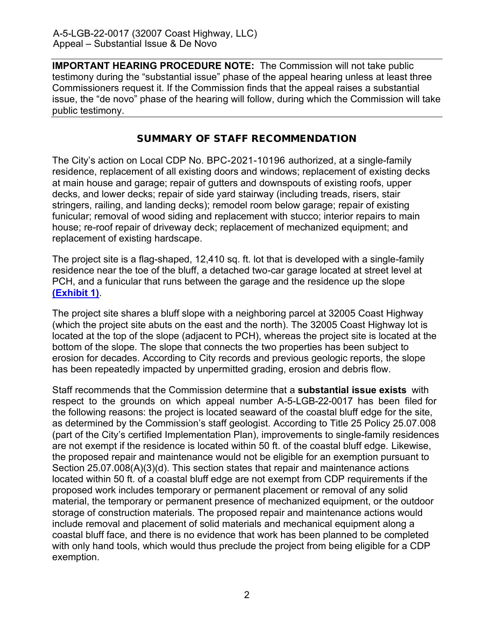**IMPORTANT HEARING PROCEDURE NOTE:** The Commission will not take public testimony during the "substantial issue" phase of the appeal hearing unless at least three Commissioners request it. If the Commission finds that the appeal raises a substantial issue, the "de novo" phase of the hearing will follow, during which the Commission will take public testimony.

### SUMMARY OF STAFF RECOMMENDATION

The City's action on Local CDP No. BPC-2021-10196 authorized, at a single-family residence, replacement of all existing doors and windows; replacement of existing decks at main house and garage; repair of gutters and downspouts of existing roofs, upper decks, and lower decks; repair of side yard stairway (including treads, risers, stair stringers, railing, and landing decks); remodel room below garage; repair of existing funicular; removal of wood siding and replacement with stucco; interior repairs to main house; re-roof repair of driveway deck; replacement of mechanized equipment; and replacement of existing hardscape.

The project site is a flag-shaped, 12,410 sq. ft. lot that is developed with a single-family residence near the toe of the bluff, a detached two-car garage located at street level at PCH, and a funicular that runs between the garage and the residence up the slope **[\(Exhibit 1\)](https://documents.coastal.ca.gov/reports/2019/11/W21b/W21b-11-2019-exhibits.pdf)**.

The project site shares a bluff slope with a neighboring parcel at 32005 Coast Highway (which the project site abuts on the east and the north). The 32005 Coast Highway lot is located at the top of the slope (adjacent to PCH), whereas the project site is located at the bottom of the slope. The slope that connects the two properties has been subject to erosion for decades. According to City records and previous geologic reports, the slope has been repeatedly impacted by unpermitted grading, erosion and debris flow.

Staff recommends that the Commission determine that a **substantial issue exists** with respect to the grounds on which appeal number A-5-LGB-22-0017 has been filed for the following reasons: the project is located seaward of the coastal bluff edge for the site, as determined by the Commission's staff geologist. According to Title 25 Policy 25.07.008 (part of the City's certified Implementation Plan), improvements to single-family residences are not exempt if the residence is located within 50 ft. of the coastal bluff edge. Likewise, the proposed repair and maintenance would not be eligible for an exemption pursuant to Section 25.07.008(A)(3)(d). This section states that repair and maintenance actions located within 50 ft. of a coastal bluff edge are not exempt from CDP requirements if the proposed work includes temporary or permanent placement or removal of any solid material, the temporary or permanent presence of mechanized equipment, or the outdoor storage of construction materials. The proposed repair and maintenance actions would include removal and placement of solid materials and mechanical equipment along a coastal bluff face, and there is no evidence that work has been planned to be completed with only hand tools, which would thus preclude the project from being eligible for a CDP exemption.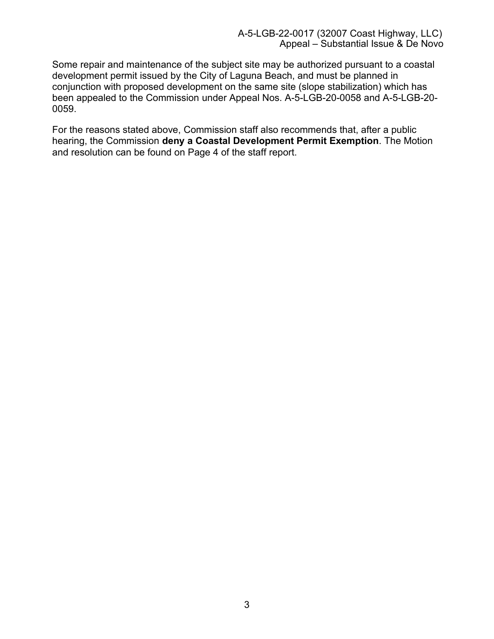Some repair and maintenance of the subject site may be authorized pursuant to a coastal development permit issued by the City of Laguna Beach, and must be planned in conjunction with proposed development on the same site (slope stabilization) which has been appealed to the Commission under Appeal Nos. A-5-LGB-20-0058 and A-5-LGB-20- 0059.

For the reasons stated above, Commission staff also recommends that, after a public hearing, the Commission **deny a Coastal Development Permit Exemption**. The Motion and resolution can be found on Page 4 of the staff report.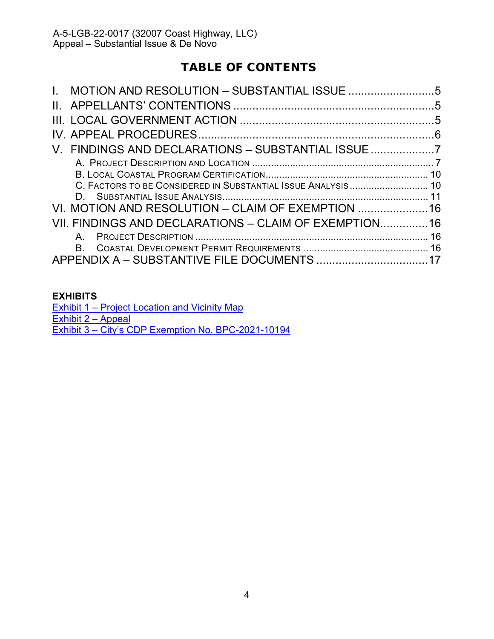# TABLE OF CONTENTS

| V. FINDINGS AND DECLARATIONS - SUBSTANTIAL ISSUE             |  |
|--------------------------------------------------------------|--|
|                                                              |  |
|                                                              |  |
| C. FACTORS TO BE CONSIDERED IN SUBSTANTIAL ISSUE ANALYSIS 10 |  |
|                                                              |  |
| VI. MOTION AND RESOLUTION - CLAIM OF EXEMPTION 16            |  |
| VII. FINDINGS AND DECLARATIONS - CLAIM OF EXEMPTION 16       |  |
| A                                                            |  |
| B.                                                           |  |
| APPENDIX A - SUBSTANTIVE FILE DOCUMENTS 17                   |  |
|                                                              |  |

### **[EXHIBITS](https://documents.coastal.ca.gov/reports/2017/8/w12a/w12a-8-2017-exhibits.pdf)**

Exhibit 1 – Project Location [and Vicinity Map](https://documents.coastal.ca.gov/reports/2022/6/Th13a/Th13a-6-2022-exhibits.pdf) [Exhibit 2](https://documents.coastal.ca.gov/reports/2022/6/Th13a/Th13a-6-2022-exhibits.pdf) – Appeal Exhibit 3 – [City's CDP Exemption No. BPC-2021-10194](https://documents.coastal.ca.gov/reports/2022/6/Th13a/Th13a-6-2022-exhibits.pdf)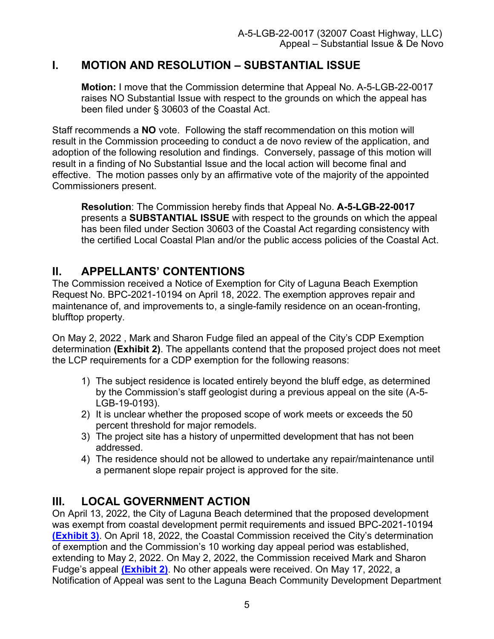# <span id="page-4-0"></span>**I. MOTION AND RESOLUTION – SUBSTANTIAL ISSUE**

**Motion:** I move that the Commission determine that Appeal No. A-5-LGB-22-0017 raises NO Substantial Issue with respect to the grounds on which the appeal has been filed under § 30603 of the Coastal Act.

Staff recommends a **NO** vote. Following the staff recommendation on this motion will result in the Commission proceeding to conduct a de novo review of the application, and adoption of the following resolution and findings. Conversely, passage of this motion will result in a finding of No Substantial Issue and the local action will become final and effective. The motion passes only by an affirmative vote of the majority of the appointed Commissioners present.

**Resolution**: The Commission hereby finds that Appeal No. **A-5-LGB-22-0017**  presents a **SUBSTANTIAL ISSUE** with respect to the grounds on which the appeal has been filed under Section 30603 of the Coastal Act regarding consistency with the certified Local Coastal Plan and/or the public access policies of the Coastal Act.

# <span id="page-4-1"></span>**II. APPELLANTS' CONTENTIONS**

The Commission received a Notice of Exemption for City of Laguna Beach Exemption Request No. BPC-2021-10194 on April 18, 2022. The exemption approves repair and maintenance of, and improvements to, a single-family residence on an ocean-fronting, blufftop property.

On May 2, 2022 , Mark and Sharon Fudge filed an appeal of the City's CDP Exemption determination **[\(Exhibit 2\)](https://documents.coastal.ca.gov/reports/2022/6/Th13a/Th13a-6-2022-exhibits.pdf)**. The appellants contend that the proposed project does not meet the LCP requirements for a CDP exemption for the following reasons:

- 1) The subject residence is located entirely beyond the bluff edge, as determined by the Commission's staff geologist during a previous appeal on the site (A-5- LGB-19-0193).
- 2) It is unclear whether the proposed scope of work meets or exceeds the 50 percent threshold for major remodels.
- 3) The project site has a history of unpermitted development that has not been addressed.
- 4) The residence should not be allowed to undertake any repair/maintenance until a permanent slope repair project is approved for the site.

# <span id="page-4-2"></span>**III. LOCAL GOVERNMENT ACTION**

On April 13, 2022, the City of Laguna Beach determined that the proposed development was exempt from coastal development permit requirements and issued BPC-2021-10194 **[\(Exhibit 3\)](https://documents.coastal.ca.gov/reports/2022/6/Th13a/Th13a-6-2022-exhibits.pdf)**. On April 18, 2022, the Coastal Commission received the City's determination of exemption and the Commission's 10 working day appeal period was established, extending to May 2, 2022. On May 2, 2022, the Commission received Mark and Sharon Fudge's appeal **[\(Exhibit 2\)](https://documents.coastal.ca.gov/reports/2022/6/Th13a/Th13a-6-2022-exhibits.pdf)**. No other appeals were received. On May 17, 2022, a Notification of Appeal was sent to the Laguna Beach Community Development Department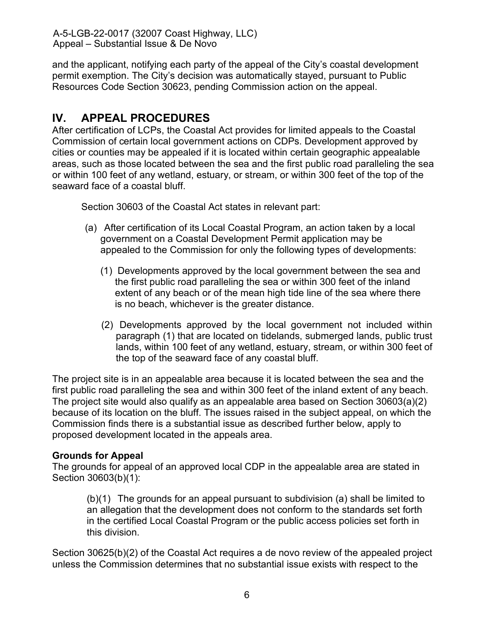and the applicant, notifying each party of the appeal of the City's coastal development permit exemption. The City's decision was automatically stayed, pursuant to Public Resources Code Section 30623, pending Commission action on the appeal.

# <span id="page-5-0"></span>**IV. APPEAL PROCEDURES**

After certification of LCPs, the Coastal Act provides for limited appeals to the Coastal Commission of certain local government actions on CDPs. Development approved by cities or counties may be appealed if it is located within certain geographic appealable areas, such as those located between the sea and the first public road paralleling the sea or within 100 feet of any wetland, estuary, or stream, or within 300 feet of the top of the seaward face of a coastal bluff.

Section 30603 of the Coastal Act states in relevant part:

- (a) After certification of its Local Coastal Program, an action taken by a local government on a Coastal Development Permit application may be appealed to the Commission for only the following types of developments:
	- (1) Developments approved by the local government between the sea and the first public road paralleling the sea or within 300 feet of the inland extent of any beach or of the mean high tide line of the sea where there is no beach, whichever is the greater distance.
	- (2) Developments approved by the local government not included within paragraph (1) that are located on tidelands, submerged lands, public trust lands, within 100 feet of any wetland, estuary, stream, or within 300 feet of the top of the seaward face of any coastal bluff.

The project site is in an appealable area because it is located between the sea and the first public road paralleling the sea and within 300 feet of the inland extent of any beach. The project site would also qualify as an appealable area based on Section 30603(a)(2) because of its location on the bluff. The issues raised in the subject appeal, on which the Commission finds there is a substantial issue as described further below, apply to proposed development located in the appeals area.

### **Grounds for Appeal**

The grounds for appeal of an approved local CDP in the appealable area are stated in Section 30603(b)(1):

(b)(1) The grounds for an appeal pursuant to subdivision (a) shall be limited to an allegation that the development does not conform to the standards set forth in the certified Local Coastal Program or the public access policies set forth in this division.

Section 30625(b)(2) of the Coastal Act requires a de novo review of the appealed project unless the Commission determines that no substantial issue exists with respect to the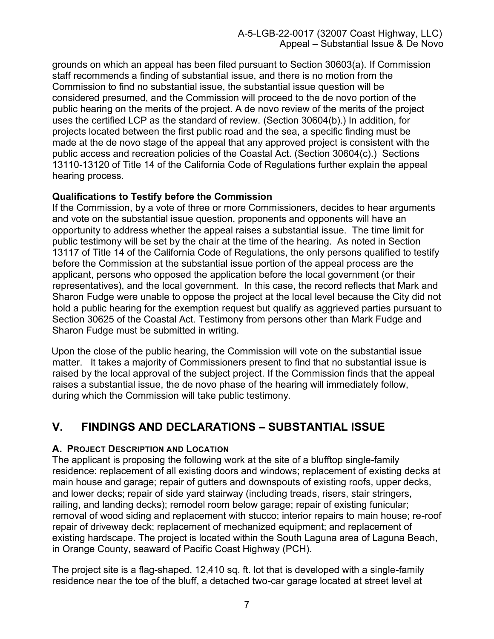grounds on which an appeal has been filed pursuant to Section 30603(a). If Commission staff recommends a finding of substantial issue, and there is no motion from the Commission to find no substantial issue, the substantial issue question will be considered presumed, and the Commission will proceed to the de novo portion of the public hearing on the merits of the project. A de novo review of the merits of the project uses the certified LCP as the standard of review. (Section 30604(b).) In addition, for projects located between the first public road and the sea, a specific finding must be made at the de novo stage of the appeal that any approved project is consistent with the public access and recreation policies of the Coastal Act. (Section 30604(c).) Sections 13110-13120 of Title 14 of the California Code of Regulations further explain the appeal hearing process.

### **Qualifications to Testify before the Commission**

If the Commission, by a vote of three or more Commissioners, decides to hear arguments and vote on the substantial issue question, proponents and opponents will have an opportunity to address whether the appeal raises a substantial issue. The time limit for public testimony will be set by the chair at the time of the hearing. As noted in Section 13117 of Title 14 of the California Code of Regulations, the only persons qualified to testify before the Commission at the substantial issue portion of the appeal process are the applicant, persons who opposed the application before the local government (or their representatives), and the local government. In this case, the record reflects that Mark and Sharon Fudge were unable to oppose the project at the local level because the City did not hold a public hearing for the exemption request but qualify as aggrieved parties pursuant to Section 30625 of the Coastal Act. Testimony from persons other than Mark Fudge and Sharon Fudge must be submitted in writing.

Upon the close of the public hearing, the Commission will vote on the substantial issue matter. It takes a majority of Commissioners present to find that no substantial issue is raised by the local approval of the subject project. If the Commission finds that the appeal raises a substantial issue, the de novo phase of the hearing will immediately follow, during which the Commission will take public testimony.

# <span id="page-6-0"></span>**V. FINDINGS AND DECLARATIONS – SUBSTANTIAL ISSUE**

#### <span id="page-6-1"></span>**A. PROJECT DESCRIPTION AND LOCATION**

The applicant is proposing the following work at the site of a blufftop single-family residence: replacement of all existing doors and windows; replacement of existing decks at main house and garage; repair of gutters and downspouts of existing roofs, upper decks, and lower decks; repair of side yard stairway (including treads, risers, stair stringers, railing, and landing decks); remodel room below garage; repair of existing funicular; removal of wood siding and replacement with stucco; interior repairs to main house; re-roof repair of driveway deck; replacement of mechanized equipment; and replacement of existing hardscape. The project is located within the South Laguna area of Laguna Beach, in Orange County, seaward of Pacific Coast Highway (PCH).

The project site is a flag-shaped, 12,410 sq. ft. lot that is developed with a single-family residence near the toe of the bluff, a detached two-car garage located at street level at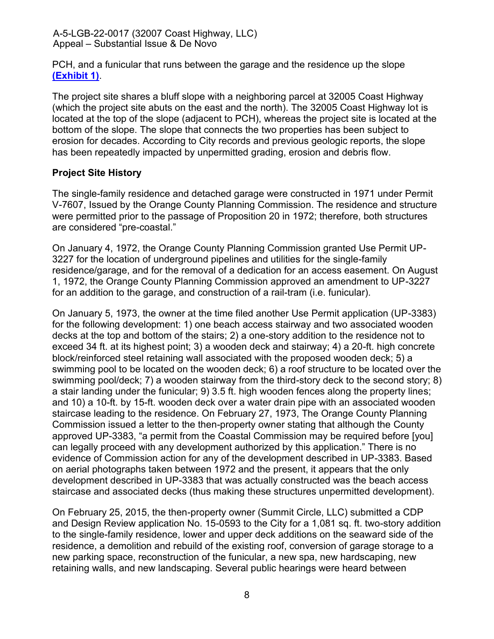PCH, and a funicular that runs between the garage and the residence up the slope **[\(Exhibit 1\)](https://documents.coastal.ca.gov/reports/2022/6/Th13a/Th13a-6-2022-exhibits.pdf)**.

The project site shares a bluff slope with a neighboring parcel at 32005 Coast Highway (which the project site abuts on the east and the north). The 32005 Coast Highway lot is located at the top of the slope (adjacent to PCH), whereas the project site is located at the bottom of the slope. The slope that connects the two properties has been subject to erosion for decades. According to City records and previous geologic reports, the slope has been repeatedly impacted by unpermitted grading, erosion and debris flow.

## **Project Site History**

The single-family residence and detached garage were constructed in 1971 under Permit V-7607, Issued by the Orange County Planning Commission. The residence and structure were permitted prior to the passage of Proposition 20 in 1972; therefore, both structures are considered "pre-coastal."

On January 4, 1972, the Orange County Planning Commission granted Use Permit UP-3227 for the location of underground pipelines and utilities for the single-family residence/garage, and for the removal of a dedication for an access easement. On August 1, 1972, the Orange County Planning Commission approved an amendment to UP-3227 for an addition to the garage, and construction of a rail-tram (i.e. funicular).

On January 5, 1973, the owner at the time filed another Use Permit application (UP-3383) for the following development: 1) one beach access stairway and two associated wooden decks at the top and bottom of the stairs; 2) a one-story addition to the residence not to exceed 34 ft. at its highest point; 3) a wooden deck and stairway; 4) a 20-ft. high concrete block/reinforced steel retaining wall associated with the proposed wooden deck; 5) a swimming pool to be located on the wooden deck; 6) a roof structure to be located over the swimming pool/deck; 7) a wooden stairway from the third-story deck to the second story; 8) a stair landing under the funicular; 9) 3.5 ft. high wooden fences along the property lines; and 10) a 10-ft. by 15-ft. wooden deck over a water drain pipe with an associated wooden staircase leading to the residence. On February 27, 1973, The Orange County Planning Commission issued a letter to the then-property owner stating that although the County approved UP-3383, "a permit from the Coastal Commission may be required before [you] can legally proceed with any development authorized by this application." There is no evidence of Commission action for any of the development described in UP-3383. Based on aerial photographs taken between 1972 and the present, it appears that the only development described in UP-3383 that was actually constructed was the beach access staircase and associated decks (thus making these structures unpermitted development).

On February 25, 2015, the then-property owner (Summit Circle, LLC) submitted a CDP and Design Review application No. 15-0593 to the City for a 1,081 sq. ft. two-story addition to the single-family residence, lower and upper deck additions on the seaward side of the residence, a demolition and rebuild of the existing roof, conversion of garage storage to a new parking space, reconstruction of the funicular, a new spa, new hardscaping, new retaining walls, and new landscaping. Several public hearings were heard between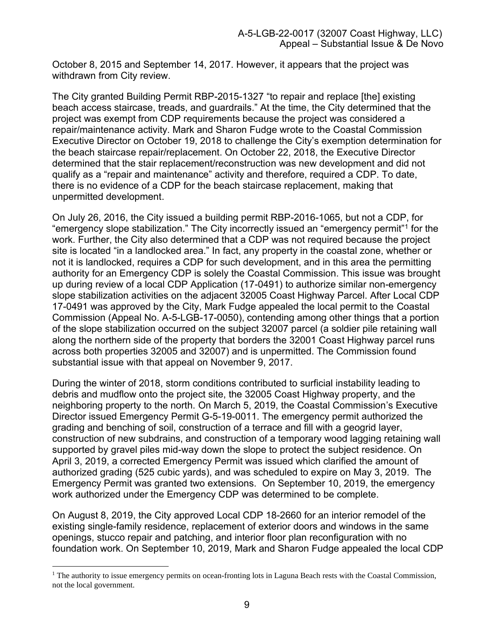October 8, 2015 and September 14, 2017. However, it appears that the project was withdrawn from City review.

The City granted Building Permit RBP-2015-1327 "to repair and replace [the] existing beach access staircase, treads, and guardrails." At the time, the City determined that the project was exempt from CDP requirements because the project was considered a repair/maintenance activity. Mark and Sharon Fudge wrote to the Coastal Commission Executive Director on October 19, 2018 to challenge the City's exemption determination for the beach staircase repair/replacement. On October 22, 2018, the Executive Director determined that the stair replacement/reconstruction was new development and did not qualify as a "repair and maintenance" activity and therefore, required a CDP. To date, there is no evidence of a CDP for the beach staircase replacement, making that unpermitted development.

On July 26, 2016, the City issued a building permit RBP-2016-1065, but not a CDP, for "emergency slope stabilization." The City incorrectly issued an "emergency permit"<sup>1</sup> for the work. Further, the City also determined that a CDP was not required because the project site is located "in a landlocked area." In fact, any property in the coastal zone, whether or not it is landlocked, requires a CDP for such development, and in this area the permitting authority for an Emergency CDP is solely the Coastal Commission. This issue was brought up during review of a local CDP Application (17-0491) to authorize similar non-emergency slope stabilization activities on the adjacent 32005 Coast Highway Parcel. After Local CDP 17-0491 was approved by the City, Mark Fudge appealed the local permit to the Coastal Commission (Appeal No. A-5-LGB-17-0050), contending among other things that a portion of the slope stabilization occurred on the subject 32007 parcel (a soldier pile retaining wall along the northern side of the property that borders the 32001 Coast Highway parcel runs across both properties 32005 and 32007) and is unpermitted. The Commission found substantial issue with that appeal on November 9, 2017.

During the winter of 2018, storm conditions contributed to surficial instability leading to debris and mudflow onto the project site, the 32005 Coast Highway property, and the neighboring property to the north. On March 5, 2019, the Coastal Commission's Executive Director issued Emergency Permit G-5-19-0011. The emergency permit authorized the grading and benching of soil, construction of a terrace and fill with a geogrid layer, construction of new subdrains, and construction of a temporary wood lagging retaining wall supported by gravel piles mid-way down the slope to protect the subject residence. On April 3, 2019, a corrected Emergency Permit was issued which clarified the amount of authorized grading (525 cubic yards), and was scheduled to expire on May 3, 2019. The Emergency Permit was granted two extensions. On September 10, 2019, the emergency work authorized under the Emergency CDP was determined to be complete.

On August 8, 2019, the City approved Local CDP 18-2660 for an interior remodel of the existing single-family residence, replacement of exterior doors and windows in the same openings, stucco repair and patching, and interior floor plan reconfiguration with no foundation work. On September 10, 2019, Mark and Sharon Fudge appealed the local CDP

<sup>&</sup>lt;sup>1</sup> The authority to issue emergency permits on ocean-fronting lots in Laguna Beach rests with the Coastal Commission, not the local government.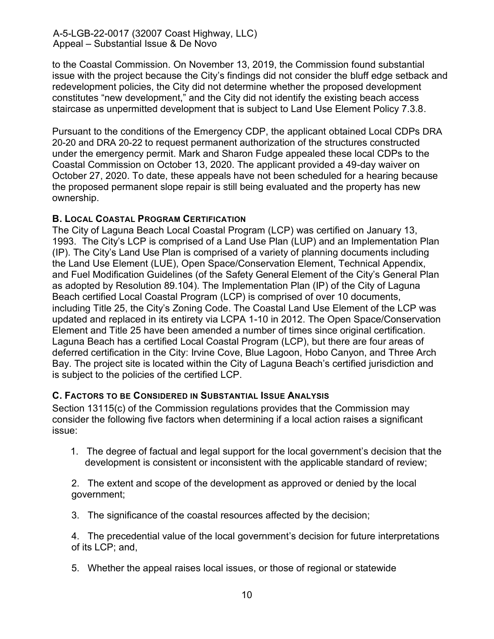to the Coastal Commission. On November 13, 2019, the Commission found substantial issue with the project because the City's findings did not consider the bluff edge setback and redevelopment policies, the City did not determine whether the proposed development constitutes "new development," and the City did not identify the existing beach access staircase as unpermitted development that is subject to Land Use Element Policy 7.3.8.

Pursuant to the conditions of the Emergency CDP, the applicant obtained Local CDPs DRA 20-20 and DRA 20-22 to request permanent authorization of the structures constructed under the emergency permit. Mark and Sharon Fudge appealed these local CDPs to the Coastal Commission on October 13, 2020. The applicant provided a 49-day waiver on October 27, 2020. To date, these appeals have not been scheduled for a hearing because the proposed permanent slope repair is still being evaluated and the property has new ownership.

### <span id="page-9-0"></span>**B. LOCAL COASTAL PROGRAM CERTIFICATION**

The City of Laguna Beach Local Coastal Program (LCP) was certified on January 13, 1993. The City's LCP is comprised of a Land Use Plan (LUP) and an Implementation Plan (IP). The City's Land Use Plan is comprised of a variety of planning documents including the Land Use Element (LUE), Open Space/Conservation Element, Technical Appendix, and Fuel Modification Guidelines (of the Safety General Element of the City's General Plan as adopted by Resolution 89.104). The Implementation Plan (IP) of the City of Laguna Beach certified Local Coastal Program (LCP) is comprised of over 10 documents, including Title 25, the City's Zoning Code. The Coastal Land Use Element of the LCP was updated and replaced in its entirety via LCPA 1-10 in 2012. The Open Space/Conservation Element and Title 25 have been amended a number of times since original certification. Laguna Beach has a certified Local Coastal Program (LCP), but there are four areas of deferred certification in the City: Irvine Cove, Blue Lagoon, Hobo Canyon, and Three Arch Bay. The project site is located within the City of Laguna Beach's certified jurisdiction and is subject to the policies of the certified LCP.

### <span id="page-9-1"></span>**C. FACTORS TO BE CONSIDERED IN SUBSTANTIAL ISSUE ANALYSIS**

Section 13115(c) of the Commission regulations provides that the Commission may consider the following five factors when determining if a local action raises a significant issue:

1. The degree of factual and legal support for the local government's decision that the development is consistent or inconsistent with the applicable standard of review;

2. The extent and scope of the development as approved or denied by the local government;

3. The significance of the coastal resources affected by the decision;

4. The precedential value of the local government's decision for future interpretations of its LCP; and,

5. Whether the appeal raises local issues, or those of regional or statewide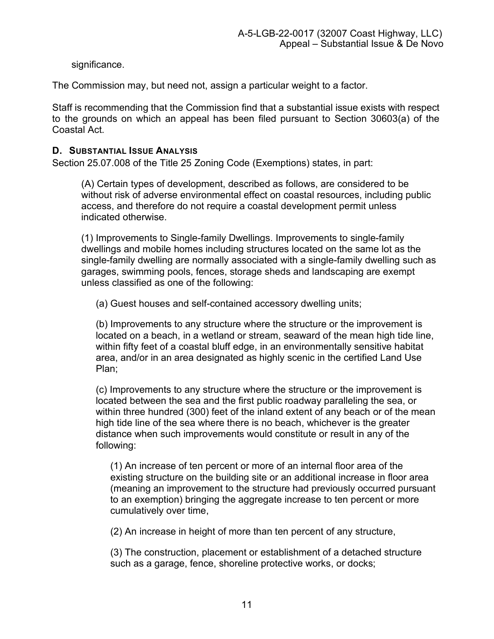significance.

The Commission may, but need not, assign a particular weight to a factor.

Staff is recommending that the Commission find that a substantial issue exists with respect to the grounds on which an appeal has been filed pursuant to Section 30603(a) of the Coastal Act.

### <span id="page-10-0"></span>**D. SUBSTANTIAL ISSUE ANALYSIS**

Section 25.07.008 of the Title 25 Zoning Code (Exemptions) states, in part:

(A) Certain types of development, described as follows, are considered to be without risk of adverse environmental effect on coastal resources, including public access, and therefore do not require a coastal development permit unless indicated otherwise.

(1) Improvements to Single-family Dwellings. Improvements to single-family dwellings and mobile homes including structures located on the same lot as the single-family dwelling are normally associated with a single-family dwelling such as garages, swimming pools, fences, storage sheds and landscaping are exempt unless classified as one of the following:

(a) Guest houses and self-contained accessory dwelling units;

(b) Improvements to any structure where the structure or the improvement is located on a beach, in a wetland or stream, seaward of the mean high tide line, within fifty feet of a coastal bluff edge, in an environmentally sensitive habitat area, and/or in an area designated as highly scenic in the certified Land Use Plan;

(c) Improvements to any structure where the structure or the improvement is located between the sea and the first public roadway paralleling the sea, or within three hundred (300) feet of the inland extent of any beach or of the mean high tide line of the sea where there is no beach, whichever is the greater distance when such improvements would constitute or result in any of the following:

(1) An increase of ten percent or more of an internal floor area of the existing structure on the building site or an additional increase in floor area (meaning an improvement to the structure had previously occurred pursuant to an exemption) bringing the aggregate increase to ten percent or more cumulatively over time,

(2) An increase in height of more than ten percent of any structure,

(3) The construction, placement or establishment of a detached structure such as a garage, fence, shoreline protective works, or docks;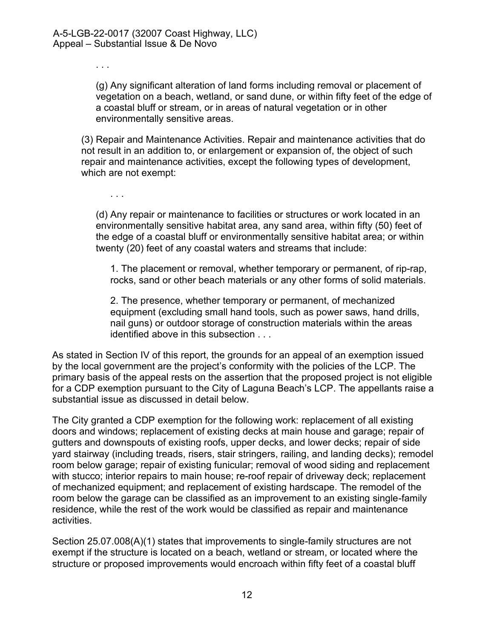. . .

(g) Any significant alteration of land forms including removal or placement of vegetation on a beach, wetland, or sand dune, or within fifty feet of the edge of a coastal bluff or stream, or in areas of natural vegetation or in other environmentally sensitive areas.

(3) Repair and Maintenance Activities. Repair and maintenance activities that do not result in an addition to, or enlargement or expansion of, the object of such repair and maintenance activities, except the following types of development, which are not exempt:

. . .

(d) Any repair or maintenance to facilities or structures or work located in an environmentally sensitive habitat area, any sand area, within fifty (50) feet of the edge of a coastal bluff or environmentally sensitive habitat area; or within twenty (20) feet of any coastal waters and streams that include:

1. The placement or removal, whether temporary or permanent, of rip-rap, rocks, sand or other beach materials or any other forms of solid materials.

2. The presence, whether temporary or permanent, of mechanized equipment (excluding small hand tools, such as power saws, hand drills, nail guns) or outdoor storage of construction materials within the areas identified above in this subsection . . .

As stated in Section IV of this report, the grounds for an appeal of an exemption issued by the local government are the project's conformity with the policies of the LCP. The primary basis of the appeal rests on the assertion that the proposed project is not eligible for a CDP exemption pursuant to the City of Laguna Beach's LCP. The appellants raise a substantial issue as discussed in detail below.

The City granted a CDP exemption for the following work: replacement of all existing doors and windows; replacement of existing decks at main house and garage; repair of gutters and downspouts of existing roofs, upper decks, and lower decks; repair of side yard stairway (including treads, risers, stair stringers, railing, and landing decks); remodel room below garage; repair of existing funicular; removal of wood siding and replacement with stucco; interior repairs to main house; re-roof repair of driveway deck; replacement of mechanized equipment; and replacement of existing hardscape. The remodel of the room below the garage can be classified as an improvement to an existing single-family residence, while the rest of the work would be classified as repair and maintenance activities.

Section 25.07.008(A)(1) states that improvements to single-family structures are not exempt if the structure is located on a beach, wetland or stream, or located where the structure or proposed improvements would encroach within fifty feet of a coastal bluff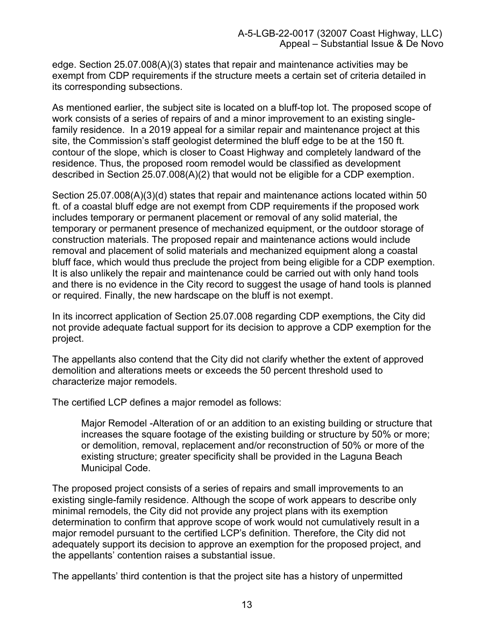edge. Section 25.07.008(A)(3) states that repair and maintenance activities may be exempt from CDP requirements if the structure meets a certain set of criteria detailed in its corresponding subsections.

As mentioned earlier, the subject site is located on a bluff-top lot. The proposed scope of work consists of a series of repairs of and a minor improvement to an existing singlefamily residence. In a 2019 appeal for a similar repair and maintenance project at this site, the Commission's staff geologist determined the bluff edge to be at the 150 ft. contour of the slope, which is closer to Coast Highway and completely landward of the residence. Thus, the proposed room remodel would be classified as development described in Section 25.07.008(A)(2) that would not be eligible for a CDP exemption.

Section 25.07.008(A)(3)(d) states that repair and maintenance actions located within 50 ft. of a coastal bluff edge are not exempt from CDP requirements if the proposed work includes temporary or permanent placement or removal of any solid material, the temporary or permanent presence of mechanized equipment, or the outdoor storage of construction materials. The proposed repair and maintenance actions would include removal and placement of solid materials and mechanized equipment along a coastal bluff face, which would thus preclude the project from being eligible for a CDP exemption. It is also unlikely the repair and maintenance could be carried out with only hand tools and there is no evidence in the City record to suggest the usage of hand tools is planned or required. Finally, the new hardscape on the bluff is not exempt.

In its incorrect application of Section 25.07.008 regarding CDP exemptions, the City did not provide adequate factual support for its decision to approve a CDP exemption for the project.

The appellants also contend that the City did not clarify whether the extent of approved demolition and alterations meets or exceeds the 50 percent threshold used to characterize major remodels.

The certified LCP defines a major remodel as follows:

Major Remodel -Alteration of or an addition to an existing building or structure that increases the square footage of the existing building or structure by 50% or more; or demolition, removal, replacement and/or reconstruction of 50% or more of the existing structure; greater specificity shall be provided in the Laguna Beach Municipal Code.

The proposed project consists of a series of repairs and small improvements to an existing single-family residence. Although the scope of work appears to describe only minimal remodels, the City did not provide any project plans with its exemption determination to confirm that approve scope of work would not cumulatively result in a major remodel pursuant to the certified LCP's definition. Therefore, the City did not adequately support its decision to approve an exemption for the proposed project, and the appellants' contention raises a substantial issue.

The appellants' third contention is that the project site has a history of unpermitted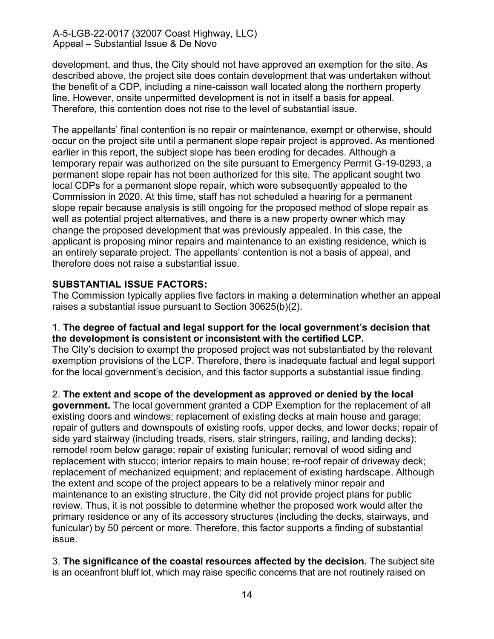development, and thus, the City should not have approved an exemption for the site. As described above, the project site does contain development that was undertaken without the benefit of a CDP, including a nine-caisson wall located along the northern property line. However, onsite unpermitted development is not in itself a basis for appeal. Therefore, this contention does not rise to the level of substantial issue.

The appellants' final contention is no repair or maintenance, exempt or otherwise, should occur on the project site until a permanent slope repair project is approved. As mentioned earlier in this report, the subject slope has been eroding for decades. Although a temporary repair was authorized on the site pursuant to Emergency Permit G-19-0293, a permanent slope repair has not been authorized for this site. The applicant sought two local CDPs for a permanent slope repair, which were subsequently appealed to the Commission in 2020. At this time, staff has not scheduled a hearing for a permanent slope repair because analysis is still ongoing for the proposed method of slope repair as well as potential project alternatives, and there is a new property owner which may change the proposed development that was previously appealed. In this case, the applicant is proposing minor repairs and maintenance to an existing residence, which is an entirely separate project. The appellants' contention is not a basis of appeal, and therefore does not raise a substantial issue.

### **SUBSTANTIAL ISSUE FACTORS:**

The Commission typically applies five factors in making a determination whether an appeal raises a substantial issue pursuant to Section 30625(b)(2).

#### 1. **The degree of factual and legal support for the local government's decision that the development is consistent or inconsistent with the certified LCP.**

The City's decision to exempt the proposed project was not substantiated by the relevant exemption provisions of the LCP. Therefore, there is inadequate factual and legal support for the local government's decision, and this factor supports a substantial issue finding.

2. **The extent and scope of the development as approved or denied by the local**

**government.** The local government granted a CDP Exemption for the replacement of all existing doors and windows; replacement of existing decks at main house and garage; repair of gutters and downspouts of existing roofs, upper decks, and lower decks; repair of side yard stairway (including treads, risers, stair stringers, railing, and landing decks); remodel room below garage; repair of existing funicular; removal of wood siding and replacement with stucco; interior repairs to main house; re-roof repair of driveway deck; replacement of mechanized equipment; and replacement of existing hardscape. Although the extent and scope of the project appears to be a relatively minor repair and maintenance to an existing structure, the City did not provide project plans for public review. Thus, it is not possible to determine whether the proposed work would alter the primary residence or any of its accessory structures (including the decks, stairways, and funicular) by 50 percent or more. Therefore, this factor supports a finding of substantial issue.

3. **The significance of the coastal resources affected by the decision.** The subject site is an oceanfront bluff lot, which may raise specific concerns that are not routinely raised on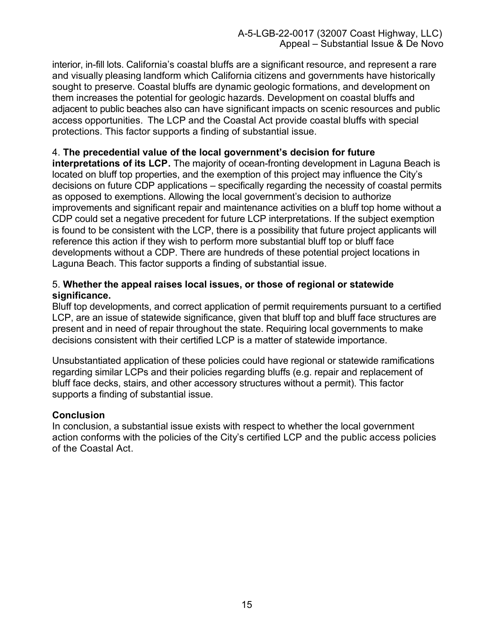interior, in-fill lots. California's coastal bluffs are a significant resource, and represent a rare and visually pleasing landform which California citizens and governments have historically sought to preserve. Coastal bluffs are dynamic geologic formations, and development on them increases the potential for geologic hazards. Development on coastal bluffs and adjacent to public beaches also can have significant impacts on scenic resources and public access opportunities. The LCP and the Coastal Act provide coastal bluffs with special protections. This factor supports a finding of substantial issue.

### 4. **The precedential value of the local government's decision for future**

**interpretations of its LCP.** The majority of ocean-fronting development in Laguna Beach is located on bluff top properties, and the exemption of this project may influence the City's decisions on future CDP applications – specifically regarding the necessity of coastal permits as opposed to exemptions. Allowing the local government's decision to authorize improvements and significant repair and maintenance activities on a bluff top home without a CDP could set a negative precedent for future LCP interpretations. If the subject exemption is found to be consistent with the LCP, there is a possibility that future project applicants will reference this action if they wish to perform more substantial bluff top or bluff face developments without a CDP. There are hundreds of these potential project locations in Laguna Beach. This factor supports a finding of substantial issue.

#### 5. **Whether the appeal raises local issues, or those of regional or statewide significance.**

Bluff top developments, and correct application of permit requirements pursuant to a certified LCP, are an issue of statewide significance, given that bluff top and bluff face structures are present and in need of repair throughout the state. Requiring local governments to make decisions consistent with their certified LCP is a matter of statewide importance.

Unsubstantiated application of these policies could have regional or statewide ramifications regarding similar LCPs and their policies regarding bluffs (e.g. repair and replacement of bluff face decks, stairs, and other accessory structures without a permit). This factor supports a finding of substantial issue.

#### **Conclusion**

In conclusion, a substantial issue exists with respect to whether the local government action conforms with the policies of the City's certified LCP and the public access policies of the Coastal Act.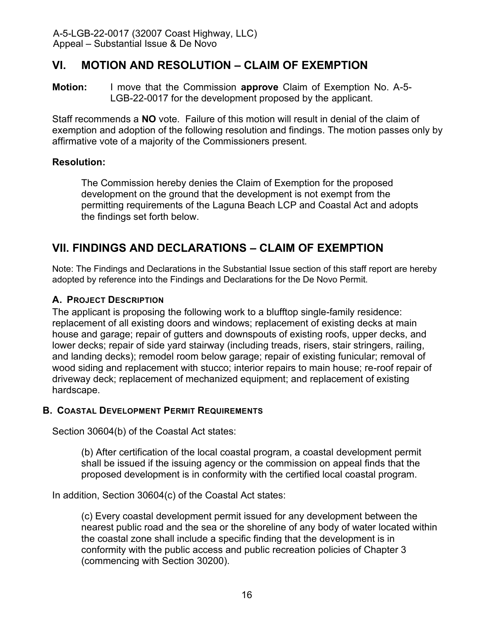# <span id="page-15-0"></span>**VI. MOTION AND RESOLUTION – CLAIM OF EXEMPTION**

**Motion:** I move that the Commission **approve** Claim of Exemption No. A-5- LGB-22-0017 for the development proposed by the applicant.

Staff recommends a **NO** vote. Failure of this motion will result in denial of the claim of exemption and adoption of the following resolution and findings. The motion passes only by affirmative vote of a majority of the Commissioners present.

### **Resolution:**

The Commission hereby denies the Claim of Exemption for the proposed development on the ground that the development is not exempt from the permitting requirements of the Laguna Beach LCP and Coastal Act and adopts the findings set forth below.

# <span id="page-15-1"></span>**VII. FINDINGS AND DECLARATIONS – CLAIM OF EXEMPTION**

Note: The Findings and Declarations in the Substantial Issue section of this staff report are hereby adopted by reference into the Findings and Declarations for the De Novo Permit.

### <span id="page-15-2"></span>**A. PROJECT DESCRIPTION**

The applicant is proposing the following work to a blufftop single-family residence: replacement of all existing doors and windows; replacement of existing decks at main house and garage; repair of gutters and downspouts of existing roofs, upper decks, and lower decks; repair of side yard stairway (including treads, risers, stair stringers, railing, and landing decks); remodel room below garage; repair of existing funicular; removal of wood siding and replacement with stucco; interior repairs to main house; re-roof repair of driveway deck; replacement of mechanized equipment; and replacement of existing hardscape.

#### <span id="page-15-3"></span>**B. COASTAL DEVELOPMENT PERMIT REQUIREMENTS**

Section 30604(b) of the Coastal Act states:

(b) After certification of the local coastal program, a coastal development permit shall be issued if the issuing agency or the commission on appeal finds that the proposed development is in conformity with the certified local coastal program.

In addition, Section 30604(c) of the Coastal Act states:

(c) Every coastal development permit issued for any development between the nearest public road and the sea or the shoreline of any body of water located within the coastal zone shall include a specific finding that the development is in conformity with the public access and public recreation policies of Chapter 3 (commencing with Section 30200).